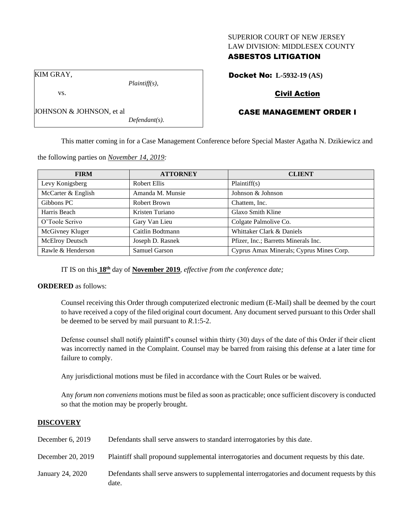#### SUPERIOR COURT OF NEW JERSEY LAW DIVISION: MIDDLESEX COUNTY

# ASBESTOS LITIGATION

Docket No: **L-5932-19 (AS)**

# Civil Action

# CASE MANAGEMENT ORDER I

This matter coming in for a Case Management Conference before Special Master Agatha N. Dzikiewicz and

**FIRM ATTORNEY CLIENT** Levy Konigsberg Robert Ellis Plaintiff(s) McCarter & English Amanda M. Munsie Johnson & Johnson Gibbons PC Robert Brown Chattem, Inc. Harris Beach Kristen Turiano Glaxo Smith Kline O'Toole Scrivo Gary Van Lieu Colgate Palmolive Co. McGivney Kluger Caitlin Bodtmann Whittaker Clark & Daniels McElroy Deutsch Joseph D. Rasnek Pfizer, Inc.; Barretts Minerals Inc. Rawle & Henderson Samuel Garson Samuel Garson Cyprus Amax Minerals; Cyprus Mines Corp.

IT IS on this **18th** day of **November 2019**, *effective from the conference date;*

#### **ORDERED** as follows:

Counsel receiving this Order through computerized electronic medium (E-Mail) shall be deemed by the court to have received a copy of the filed original court document. Any document served pursuant to this Order shall be deemed to be served by mail pursuant to *R*.1:5-2.

Defense counsel shall notify plaintiff's counsel within thirty (30) days of the date of this Order if their client was incorrectly named in the Complaint. Counsel may be barred from raising this defense at a later time for failure to comply.

Any jurisdictional motions must be filed in accordance with the Court Rules or be waived.

Any *forum non conveniens* motions must be filed as soon as practicable; once sufficient discovery is conducted so that the motion may be properly brought.

## **DISCOVERY**

| December 6, 2019  | Defendants shall serve answers to standard interrogatories by this date.                              |
|-------------------|-------------------------------------------------------------------------------------------------------|
| December 20, 2019 | Plaintiff shall propound supplemental interrogatories and document requests by this date.             |
| January 24, 2020  | Defendants shall serve answers to supplemental interrogatories and document requests by this<br>date. |

the following parties on *November 14, 2019:*

*Plaintiff(s),*

*Defendant(s).*

KIM GRAY,

vs.

JOHNSON & JOHNSON, et al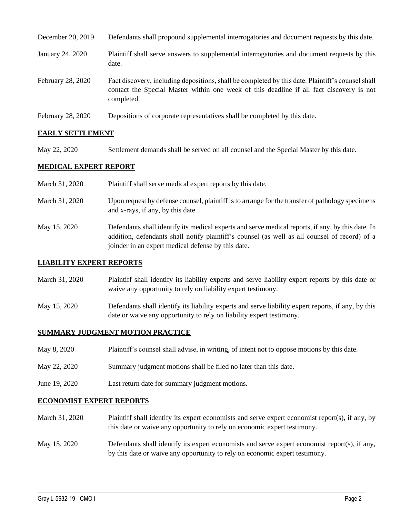| December 20, 2019 | Defendants shall propound supplemental interrogatories and document requests by this date.                                                                                                                  |
|-------------------|-------------------------------------------------------------------------------------------------------------------------------------------------------------------------------------------------------------|
| January 24, 2020  | Plaintiff shall serve answers to supplemental interrogatories and document requests by this<br>date.                                                                                                        |
| February 28, 2020 | Fact discovery, including depositions, shall be completed by this date. Plaintiff's counsel shall<br>contact the Special Master within one week of this deadline if all fact discovery is not<br>completed. |
| February 28, 2020 | Depositions of corporate representatives shall be completed by this date.                                                                                                                                   |

## **EARLY SETTLEMENT**

May 22, 2020 Settlement demands shall be served on all counsel and the Special Master by this date.

## **MEDICAL EXPERT REPORT**

March 31, 2020 Plaintiff shall serve medical expert reports by this date. March 31, 2020 Upon request by defense counsel, plaintiff is to arrange for the transfer of pathology specimens and x-rays, if any, by this date. May 15, 2020 Defendants shall identify its medical experts and serve medical reports, if any, by this date. In addition, defendants shall notify plaintiff's counsel (as well as all counsel of record) of a joinder in an expert medical defense by this date.

## **LIABILITY EXPERT REPORTS**

- March 31, 2020 Plaintiff shall identify its liability experts and serve liability expert reports by this date or waive any opportunity to rely on liability expert testimony.
- May 15, 2020 Defendants shall identify its liability experts and serve liability expert reports, if any, by this date or waive any opportunity to rely on liability expert testimony.

## **SUMMARY JUDGMENT MOTION PRACTICE**

- May 8, 2020 Plaintiff's counsel shall advise, in writing, of intent not to oppose motions by this date.
- May 22, 2020 Summary judgment motions shall be filed no later than this date.
- June 19, 2020 Last return date for summary judgment motions.

#### **ECONOMIST EXPERT REPORTS**

- March 31, 2020 Plaintiff shall identify its expert economists and serve expert economist report(s), if any, by this date or waive any opportunity to rely on economic expert testimony.
- May 15, 2020 Defendants shall identify its expert economists and serve expert economist report(s), if any, by this date or waive any opportunity to rely on economic expert testimony.

 $\_$  , and the set of the set of the set of the set of the set of the set of the set of the set of the set of the set of the set of the set of the set of the set of the set of the set of the set of the set of the set of th